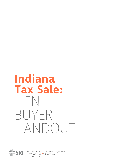# Indiana Tax Sale:  $\vert \ \vert$  FN BUYFR HANDOUT

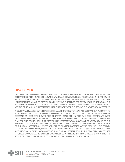## **DISCLAIMER**

THIS HANDOUT PROVIDES GENERAL INFORMATION ABOUT INDIANA TAX SALES AND THE STATUTORY OBLIGATIONS OF LIEN BUYERS FOLLOWING A TAX SALE. HOWEVER, LEGAL INFORMATION IS NOT THE SAME AS LEGAL ADVICE, WHICH CONCERNS THE APPLICATION OF THE LAW TO A SPECIFIC SITUATION. THIS HANDOUT IS NOT MEANT TO PROVIDE COMPREHENSIVE GUIDELINES FOR ANY PARTICULAR SITUATION. THE INFORMATION HEREIN IS NOT GUARANTEED TO BE CORRECT, COMPLETE, OR CURRENT. LIEN BUYERS SHOULD NOT ACT OR RELY ON ANY INFORMATION IN THIS HANDOUT WITHOUT SEEKING THE ADVICE OF AN ATTORNEY.

A COUNTY TAX SALE IS A BUYER BEWARE SALE; ALL PROPERTIES/TAX LIENS ARE SOLD "AS IS." PURSUANT TO IC 6-1.1-24-10 THE ONLY WARRANTY PROVIDED BY THE COUNTY IS THAT THE TAXES AND SPECIAL ASSESSMENTS ASSOCIATED WITH THE PROPERTY DESCRIBED IN THE TAX SALE CERTIFICATE WERE DELINQUENT AND UNPAID AT THE TIME OF THE SALE AND THE PROPERTY IS ELIGIBLE FOR SALE, UNDER THIS CHAPTER. THE COUNTY DOES NOT PROVIDE ANY REPRESENTATION, COVENANT OR WARRANTY AS TO THE HABITABILITY, CONDITION OR FITNESS OF THE PROPERTY. THE COUNTY DOES NOT WARRANT THE ACCURACY OF THE LEGAL DESCRIPTION, STREET ADDRESS OR COMMON LOCATION OF THE PROPERTY. THE COUNTY MAKES NO REPRESENTATION, COVENANT OR WARRANTY OF TITLE. A TAX DEED ISSUED TO A PURCHASER IN A COUNTY TAX SALE MAY NOT CONVEY INSURABLE OR MARKETABLE TITLE TO THE PROPERTY. BIDDERS ARE STRONGLY ENCOURAGED TO EXERCISE DUE DILIGENCE IN RESEARCHING PROPERTIES AND OBTAINING THE ADVICE OF LEGAL COUNSEL PRIOR TO PURCHASING TAX LIENS IN A COUNTY TAX SALE.

 $\frac{dE}{dF}$ SRI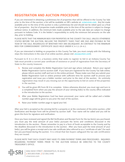# **REGISTRATION AND AUCTION PROCEDURE**

If you are interested in obtaining a preliminary list of properties that will be offered in the County Tax Sale prior to the time of the auction, a list will be available on SRI's website at: *[sriservices.com](http://www.sriservices.com/)*. Any list made available prior to the time of the auction is only a preliminary list and should not be relied upon as a final list of properties. Any list of properties made available prior to the time of the auction is subject to change without notice. In addition, the minimum bids made available prior to the sale date are subject to change pursuant to Indiana Code. It is the bidder's responsibility to verify the minimum bid amounts on the sale day, prior to bidding.

PLEASE NOTE THAT THE MINIMUM BIDS FOR PROPERTIES IN THE COUNTY TAX SALE, UNLESS OTHERWISE STATED BEFORE THE AUCTION, INCLUDE THE PROPERTY TAXES THAT ARE DUE AND PAYABLE IN THE YEAR OF THE SALE, REGARDLESS OF WHETHER THEY ARE DELINQUENT, IN CONTRAST TO THE MINIMUM BIDS FOR COMMISSIONERS' CERTIFICATE SALES HELD UNDER IC 6-1.1-24-6.1.

If you are interested in bidding on properties in this County Tax Sale, you must comply with the following steps (for instructions in the case of an online auction, please visit *[zeusauction.com](http://www.zeusauction.com/)*):

Pursuant to IC 6-1.1-24-5.1, a business entity that seeks to register to bid in an Indiana County Tax Sale must provide a current year certificate of existence or proof of registration from the Secretary of State to the county treasurer.

- **1.** Review and complete the Bidder Registration Card and sign where indicated. Return your signed Bidder Registration Card to auction staff. If you have pre-registered for the County Tax Sale online, please inform auction staff and turn in the online printout. Please make sure that you submit your Bidder Registration Card or online printout with sufficient time for auction staff to process your registration and issue you a bidder number card prior to the start of the auction. An untimely registration may result in you missing out on the opportunity to bid on some of the properties in the auction.
- **2.** You will be given IRS Form W-9 to complete. Unless otherwise directed, you must sign and turn in a completed form when you pay the amount of your winning bid(s) to the county office indicated in the introduction to the auction.
- **3.** After your Bidder Registration Card has been processed, your name will be called and a bidder number page will be given to you prior the start of the auction.
- **4.** Raise your bidder number page to signal your bid.

After your bid is accepted as the winning bid for a property or at the conclusion of the entire auction, a Bid Verification and Receipt Form will be printed by auction staff. Your name will be called and you will be given this form for signature and verification.

Once you have reviewed and signed the Bid Verification and Receipt Form for the tax lien(s) you purchased, you must pay the total amount of your bid(s) pursuant the terms and conditions discussed in the introduction to the auction. Please remember to pay in a form of funds acceptable to the County and by the deadline discussed in the introduction to the auction. After you have paid the total amount of your bid(s), you will be given a receipt and a tax sale certificate (also referred to as a "certificate of sale") for each lien you purchased during the auction. It is critical that lien buyers safeguard the tax sale certificate(s) they are issued.

PLEASE NOTE THAT EACH COUNTY MAY HAVE ITS OWN PAYMENT TERMS AND PROCEDURES. INQUIRIES REGARDING PAYMENT TERMS PRIOR TO THE AUCTION SHOULD BE DIRECTED TO THE COUNTY TREASURER'S OFFICE.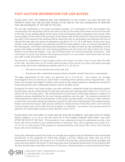# **POST-AUCTION INFORMATION FOR LIEN BUYERS**

PLEASE NOTE THAT THE MINIMUM BIDS FOR PROPERTIES IN THE COUNTY TAX SALE INCLUDE THE PROPERTY TAXES THAT ARE DUE AND PAYABLE IN THE YEAR OF THE SALE, REGARDLESS OF WHETHER THEY ARE DELINQUENT AT THE TIME OF THE SALE.

The tax sale certificate(s) a lien buyer purchased contains: (1) a description of the real property that corresponds to the description used on the notice of sale; (2) the name of the owner of record at the time of the sale; (3) the mailing address of the owner of the real property sold as indicated in the records of the county auditor; (4) the name of the purchaser; (5) the date of sale; (6) the amount for which the real property was sold; (7) the amount of the minimum bid for which the tract or real property was offered at the time of sale; (8) the date when the period of redemption specified in IC 6-1.1-25-4 will expire; (9) the court cause number under which judgment was obtained; and (10) the street address, if any, or common description of the real property. Lien buyers should pay close attention to the dates on their tax sale certificate(s), as they govern their ability to petition the court having jurisdiction over the County Tax Sale to direct the County Auditor to issue them tax deed(s). A tax sale certificate does not convey ownership of property. Until a lien buyer is issued a tax deed for the property pursuant to a court order, a lien buyer does not have any right to take possession of the property.

The period for redemption of real property sold in the County Tax Sale is one (1) year after the date of the sale. Not later than six (6) months after the date of the County Tax Sale, a lien buyer must give notice of the sale (in the method(s) prescribed under IC 6-1.1-25-4.5) to:

- The owner of record at the time of the sale; and
- Any person with a substantial property interest of public record in the tract or real property.

The legal requirements of this notice are governed by IC 6-1.1-25-4.5. Lien buyers are strongly encouraged to hire an attorney to assist them in meeting these statutory notice requirements. Lien buyers are strongly encouraged to initiate a title search on the subject property to identify the owner(s) of record and persons with a substantial property interest of public record.

If property for which a lien buyer bought a tax sale certificate is redeemed during the redemption period, the lien buyer may be reimbursed for its attorney's fees and costs of giving notice under IC 6-1.1-25-4.5, as well as the cost of a title search. This reimbursement of a lien buyer's actual paid expenses is subject to a maximum amount established by the court having jurisdiction over the sale. The maximum amounts for reimbursement are stated in the introduction to the auction and the Auditor or Treasurer's office will have a copy of the court order setting the maximum amounts for title search and attorneys' fees reimbursement. Please note that lien buyers shall only be entitled to reimbursement if they file a form 137 B with the County Auditor prior to the date that the property is redeemed. Lien buyers must present proof of payment of reimbursable expenses when they file a form 137 B.

PLEASE NOTE THAT THE FORM 137 B MAY NOT BE FILED FOR ATTORNEYS' FEES AND COSTS OF GIVING NOTICE UNDER IC 6-1.1-25-4.5 OR THE COSTS OF A TITLE SEARCH EARLIER THAN THIRTY (30) DAYS AFTER THE DATE OF THE SALE. If the property is not redeemed during the redemption period, a lien buyer will not be entitled to any reimbursement of attorneys' fees, costs of giving notice under IC 6- 1.1-25-4.5 or a title search. If the property is redeemed before a lien buyer files a form 137 B, the lien buyer will not be reimbursed.

During the redemption period, lien buyers are strongly encouraged to pay all subsequent taxes and special assessments on the properties for which they bought a tax lien. Indiana law states that one of the requirements necessary for the issuance of a Tax Deed is that all taxes, special assessments, penalties and costs have been paid on the parcel. If a lien buyer pays taxes and special assessments on the property after the sale, the lien buyer must follow the form 137 B process, referenced above, to ensure that the lien buyer

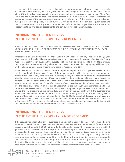is reimbursed if the property is redeemed. Immediately upon paying any subsequent taxes and special assessments on the property, the lien buyer should provide a receipt to the County Auditor's office and file a form 137 B. If the lien buyer has paid subsequent taxes and special assessments, and properly filed a form 137 B, the lien buyer will be entitled to reimbursement for all such taxes and special assessments plus interest at the rate of five percent 5% per annum, upon redemption. If the property is not redeemed during the redemption period, the lien buyer will not be reimbursed for any subsequent taxes and special assessments. If the property is redeemed before the lien buyer files a form 137 B for subsequent taxes and special assessments, the lien buyer will not be reimbursed.

# **INFORMATION FOR LIEN BUYERS IN THE EVENT THE PROPERTY IS REDEEMED**

PLEASE NOTE THAT THE FORM 137 B MAY NOT BE FILED FOR ATTORNEYS' FEES AND COSTS OF GIVING NOTICE UNDER IC 6-1.1-25-4.5 OR THE COSTS OF A TITLE SEARCH EARLIER THAN THIRTY (30) DAYS AFTER THE DATE OF THE SALE.

Property sold to a lien buyer in the County Tax Sale may be redeemed at any time within one (1) year after the date of the sale. When property is redeemed in connection with the County Tax Sale, the County Auditor will notify the lien buyer and the tax sale certificate must be surrendered to the Auditor's office as soon as possible. An entry reflecting all transactions related to the sale of each property will be recorded on the Indiana Tax Sale Record (Indiana State Board of Accounts Form 137).

When a lien buyer surrenders a tax sale certificate upon redemption, the lien buyer will receive a refund equal to one hundred ten percent (110%) of the minimum bid for which the tract or real property was offered at the time of sale, if the tract or item of real property is redeemed not more than six (6) months after the date of sale; or one hundred fifteen percent (115%) of the minimum bid for which the tract or real property was offered at the time of sale, if the tract or item of real property is redeemed more than six (6) months but not more than one (1) year after the date of sale. In addition to the refund of the minimum bid plus the above stated interest, in the case of a redemption, the lien buyer, upon surrendering a tax sale certificate, will receive a refund of the amount by which the purchase price exceeds the minimum bid, if any, on the real property plus five percent (5%) per annum on the amount by which the purchase price exceeds the minimum bid on the property, plus all prior and properly filed 137 B costs, which may include attorneys' fees and costs of giving notice under IC 6-1.1-25-4.5, the cost of a title search and all taxes and special assessments paid by the lien buyer on the redeemed property after the sale (plus interest at the rate of five percent (5%) per annum on the subsequent taxes and special assessments paid by the lien buyer). The amount required to redeem property from a tax sale is codified at IC 6-1.1-25-2.

## **INFORMATION FOR LIEN BUYERS IN THE EVENT THE PROPERTY IS NOT REDEEMED**

If the property for which a lien buyer purchased a tax lien at the County Tax Sale is not redeemed during redemption period, the lien buyer must comply with additional statutory requirements (other than the notices provided for at IC 6-1.1-25-4.5) in order to obtain a tax deed. These requirements are codified, generally, at IC 6-1.1-25-4.6. After the expiration of the redemption period but not later than three (3) months after the expiration of the period of redemption, the lien buyer or its assignee may file a verified petition with the court having jurisdiction over the tax sale for an order directing the County Auditor to issue a tax deed to the lien buyer. In addition to the filing of the petition, lien buyers are required to send notice of the petition to the same parties and in the same manner as provided in IC 6-1.1-25- 4.5 (note: this section governs the "notice of the sale" discussed previously). Lien buyers are strongly encouraged to hire an attorney to assist them with the legal steps required to obtain a tax deed.